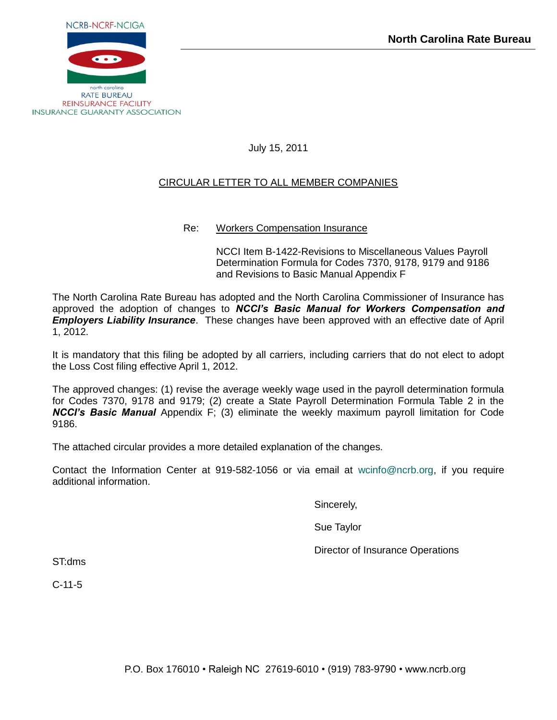

July 15, 2011

# CIRCULAR LETTER TO ALL MEMBER COMPANIES

# Re: Workers Compensation Insurance

NCCI Item B-1422-Revisions to Miscellaneous Values Payroll Determination Formula for Codes 7370, 9178, 9179 and 9186 and Revisions to Basic Manual Appendix F

The North Carolina Rate Bureau has adopted and the North Carolina Commissioner of Insurance has approved the adoption of changes to *NCCI's Basic Manual for Workers Compensation and Employers Liability Insurance*. These changes have been approved with an effective date of April 1, 2012.

It is mandatory that this filing be adopted by all carriers, including carriers that do not elect to adopt the Loss Cost filing effective April 1, 2012.

The approved changes: (1) revise the average weekly wage used in the payroll determination formula for Codes 7370, 9178 and 9179; (2) create a State Payroll Determination Formula Table 2 in the *NCCI's Basic Manual* Appendix F; (3) eliminate the weekly maximum payroll limitation for Code 9186.

The attached circular provides a more detailed explanation of the changes.

Contact the Information Center at 919-582-1056 or via email at [wcinfo@ncrb.org,](mailto:wcinfo@ncrb.org) if you require additional information.

Sincerely,

Sue Taylor

Director of Insurance Operations

ST:dms

C-11-5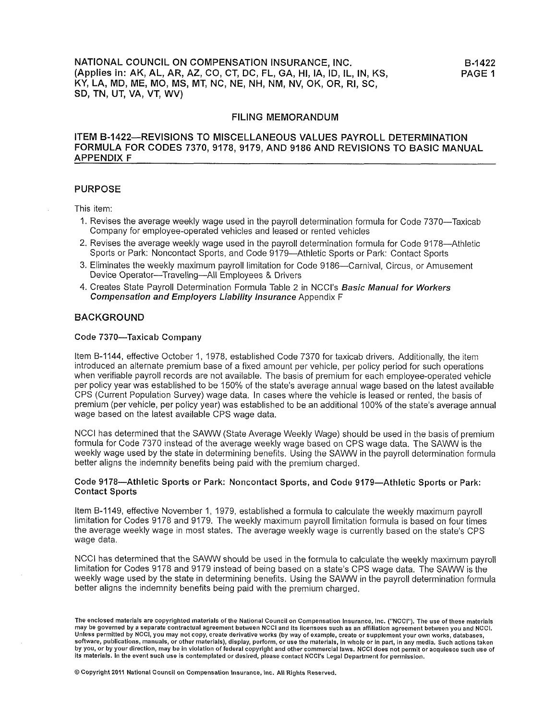### ITEM B-1422—REVISIONS TO MISCELLANEOUS VALUES PAYROLL DETERMINATION FORMULA FOR CODES 7370, 9178, 9179, AND 9186 AND REVISIONS TO BASIC MANUAL **APPENDIX F**

### **PURPOSE**

This item:

- 1. Revises the average weekly wage used in the payroll determination formula for Code 7370—Taxicab Company for employee-operated vehicles and leased or rented vehicles
- 2. Revises the average weekly wage used in the payroll determination formula for Code 9178-Athletic Sports or Park: Noncontact Sports, and Code 9179—Athletic Sports or Park: Contact Sports
- 3. Eliminates the weekly maximum payroll limitation for Code 9186-Carnival, Circus, or Amusement Device Operator-Traveling-All Employees & Drivers
- 4. Creates State Payroll Determination Formula Table 2 in NCCI's Basic Manual for Workers Compensation and Employers Liability Insurance Appendix F

#### **BACKGROUND**

#### Code 7370-Taxicab Company

Item B-1144, effective October 1, 1978, established Code 7370 for taxicab drivers. Additionally, the item introduced an alternate premium base of a fixed amount per vehicle, per policy period for such operations when verifiable payroll records are not available. The basis of premium for each employee-operated vehicle per policy year was established to be 150% of the state's average annual wage based on the latest available CPS (Current Population Survey) wage data. In cases where the vehicle is leased or rented, the basis of premium (per vehicle, per policy year) was established to be an additional 100% of the state's average annual wage based on the latest available CPS wage data.

NCCI has determined that the SAWW (State Average Weekly Wage) should be used in the basis of premium formula for Code 7370 instead of the average weekly wage based on CPS wage data. The SAWW is the weekly wage used by the state in determining benefits. Using the SAWW in the payroll determination formula better aligns the indemnity benefits being paid with the premium charged.

#### Code 9178—Athletic Sports or Park: Noncontact Sports, and Code 9179—Athletic Sports or Park: **Contact Sports**

Item B-1149, effective November 1, 1979, established a formula to calculate the weekly maximum payroll limitation for Codes 9178 and 9179. The weekly maximum payroll limitation formula is based on four times the average weekly wage in most states. The average weekly wage is currently based on the state's CPS wage data.

NCCI has determined that the SAWW should be used in the formula to calculate the weekly maximum payroll limitation for Codes 9178 and 9179 instead of being based on a state's CPS wage data. The SAWW is the weekly wage used by the state in determining benefits. Using the SAWW in the payroll determination formula better aligns the indemnity benefits being paid with the premium charged.

The enclosed materials are copyrighted materials of the National Council on Compensation Insurance, Inc. ("NCCI"). The use of these materials may be governed by a separate contractual agreement between NCCI and its licensees such as an affiliation agreement between you and NCCI. Different by NCCI, you may not copy, create derivative works (by way of example, create or supplement your own works, databases,<br>software, publications, manuals, or other materials), display, perform, or use the materials, by you, or by your direction, may be in violation of federal copyright and other commercial laws. NCCI does not permit or acquiesce such use of its materials. In the event such use is contemplated or desired, please contact NCCI's Legal Department for permission.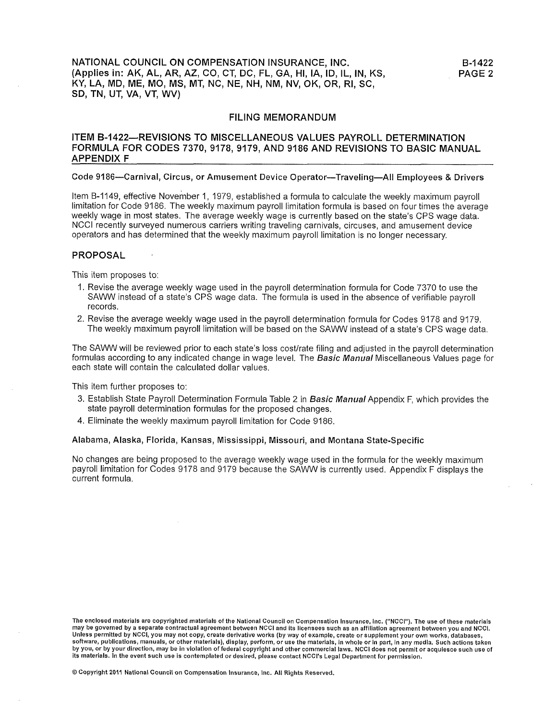### ITEM B-1422-REVISIONS TO MISCELLANEOUS VALUES PAYROLL DETERMINATION FORMULA FOR CODES 7370, 9178, 9179, AND 9186 AND REVISIONS TO BASIC MANUAL **APPENDIX F**

#### Code 9186—Carnival, Circus, or Amusement Device Operator—Traveling—All Employees & Drivers

Item B-1149, effective November 1, 1979, established a formula to calculate the weekly maximum payroll limitation for Code 9186. The weekly maximum payroll limitation formula is based on four times the average weekly wage in most states. The average weekly wage is currently based on the state's CPS wage data. NCCI recently surveyed numerous carriers writing traveling carnivals, circuses, and amusement device operators and has determined that the weekly maximum payroll limitation is no longer necessary.

#### **PROPOSAL**

This item proposes to:

- 1. Revise the average weekly wage used in the payroll determination formula for Code 7370 to use the SAWW instead of a state's CPS wage data. The formula is used in the absence of verifiable payroll records.
- 2. Revise the average weekly wage used in the payroll determination formula for Codes 9178 and 9179. The weekly maximum payroll limitation will be based on the SAWW instead of a state's CPS wage data.

The SAWW will be reviewed prior to each state's loss cost/rate filing and adjusted in the payroll determination formulas according to any indicated change in wage level. The **Basic Manual** Miscellaneous Values page for each state will contain the calculated dollar values.

This item further proposes to:

- 3. Establish State Payroll Determination Formula Table 2 in Basic Manual Appendix F, which provides the state payroll determination formulas for the proposed changes.
- 4. Eliminate the weekly maximum payroll limitation for Code 9186.

### Alabama, Alaska, Florida, Kansas, Mississippi, Missouri, and Montana State-Specific

No changes are being proposed to the average weekly wage used in the formula for the weekly maximum payroll limitation for Codes 9178 and 9179 because the SAWW is currently used. Appendix F displays the current formula.

The enclosed materials are copyrighted materials of the National Council on Compensation Insurance, Inc. ("NCCI"). The use of these materials may be governed by a separate contractual agreement between NCCI and its licensees such as an affiliation agreement between you and NCCI. nay be governed by NCCI, you may not copy, create derivative works (by way of example, create or supplement your own works, databases,<br>software, publications, manuals, or other materials), display, perform, or use the mate by you, or by your direction, may be in violation of federal copyright and other commercial laws. NCCI does not permit or acquiesce such use of its materials. In the event such use is contemplated or desired, please contact NCCI's Legal Department for permission.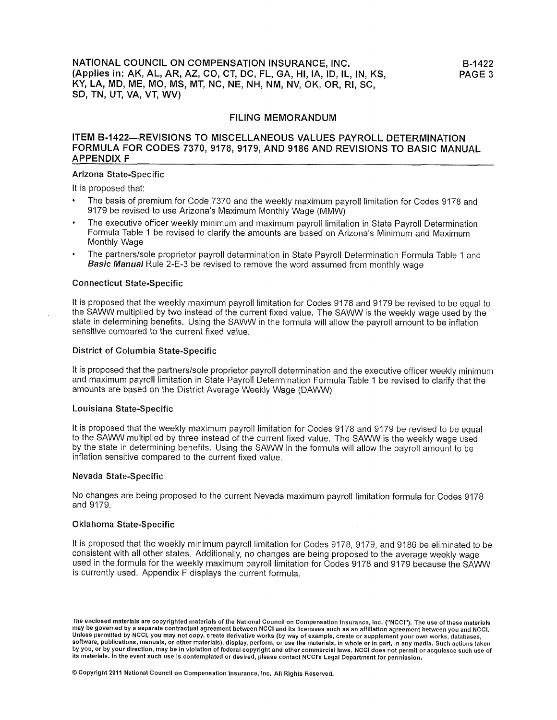### ITEM B-1422-REVISIONS TO MISCELLANEOUS VALUES PAYROLL DETERMINATION FORMULA FOR CODES 7370, 9178, 9179, AND 9186 AND REVISIONS TO BASIC MANUAL **APPENDIX F**

#### Arizona State-Specific

It is proposed that:

- The basis of premium for Code 7370 and the weekly maximum payroll limitation for Codes 9178 and 9179 be revised to use Arizona's Maximum Monthly Wage (MMW)
- The executive officer weekly minimum and maximum payroll limitation in State Payroll Determination Formula Table 1 be revised to clarify the amounts are based on Arizona's Minimum and Maximum Monthly Wage
- The partners/sole proprietor payroll determination in State Payroll Determination Formula Table 1 and Basic Manual Rule 2-E-3 be revised to remove the word assumed from monthly wage

#### **Connecticut State-Specific**

It is proposed that the weekly maximum payroll limitation for Codes 9178 and 9179 be revised to be equal to the SAWW multiplied by two instead of the current fixed value. The SAWW is the weekly wage used by the state in determining benefits. Using the SAWW in the formula will allow the payroll amount to be inflation sensitive compared to the current fixed value.

### **District of Columbia State-Specific**

It is proposed that the partners/sole proprietor payroll determination and the executive officer weekly minimum and maximum payroll limitation in State Payroll Determination Formula Table 1 be revised to clarify that the amounts are based on the District Average Weekly Wage (DAWW)

#### Louisiana State-Specific

It is proposed that the weekly maximum payroll limitation for Codes 9178 and 9179 be revised to be equal to the SAWW multiplied by three instead of the current fixed value. The SAWW is the weekly wage used by the state in determining benefits. Using the SAWW in the formula will allow the payroll amount to be inflation sensitive compared to the current fixed value.

#### **Nevada State-Specific**

No changes are being proposed to the current Nevada maximum payroll limitation formula for Codes 9178 and 9179.

## Oklahoma State-Specific

It is proposed that the weekly minimum payroll limitation for Codes 9178, 9179, and 9186 be eliminated to be consistent with all other states. Additionally, no changes are being proposed to the average weekly wage used in the formula for the weekly maximum payroll limitation for Codes 9178 and 9179 because the SAWW is currently used. Appendix F displays the current formula.

The enclosed materials are copyrighted materials of the National Council on Compensation Insurance, Inc. ("NCCI"). The use of these materials may be governed by a separate contractual agreement between NCCI and its licensees such as an affiliation agreement between you and NCCI. Unless permitted by NCCI, you may not copy, create derivative works (by way of example, create or supplement your own works, databases, software, publications, manuals, or other materials), display, perform, or use the materials, in whole or in part, in any media. Such actions taken by you, or by your direction, may be in violation of federal copyright and other commercial laws. NCCI does not permit or acquiesce such use of its materials. In the event such use is contemplated or desired, please contact NCCI's Legal Department for permission.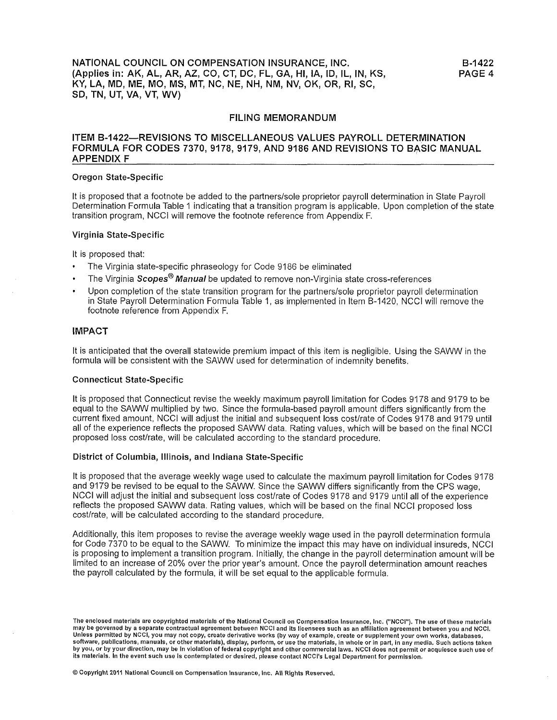### ITEM B-1422-REVISIONS TO MISCELLANEOUS VALUES PAYROLL DETERMINATION FORMULA FOR CODES 7370, 9178, 9179, AND 9186 AND REVISIONS TO BASIC MANUAL **APPENDIX F**

#### **Oregon State-Specific**

It is proposed that a footnote be added to the partners/sole proprietor payroll determination in State Payroll Determination Formula Table 1 indicating that a transition program is applicable. Upon completion of the state transition program, NCCI will remove the footnote reference from Appendix F.

#### Virginia State-Specific

It is proposed that:

- The Virginia state-specific phraseology for Code 9186 be eliminated
- The Virginia Scopes<sup>®</sup> Manual be updated to remove non-Virginia state cross-references
- Upon completion of the state transition program for the partners/sole proprietor payroll determination in State Payroll Determination Formula Table 1, as implemented in Item B-1420, NCCI will remove the footnote reference from Appendix F.

### **IMPACT**

It is anticipated that the overall statewide premium impact of this item is negligible. Using the SAWW in the formula will be consistent with the SAWW used for determination of indemnity benefits.

#### **Connecticut State-Specific**

It is proposed that Connecticut revise the weekly maximum payroll limitation for Codes 9178 and 9179 to be equal to the SAWW multiplied by two. Since the formula-based payroll amount differs significantly from the current fixed amount, NCCI will adjust the initial and subsequent loss cost/rate of Codes 9178 and 9179 until all of the experience reflects the proposed SAWW data. Rating values, which will be based on the final NCCI proposed loss cost/rate, will be calculated according to the standard procedure.

#### District of Columbia, Illinois, and Indiana State-Specific

It is proposed that the average weekly wage used to calculate the maximum payroll limitation for Codes 9178 and 9179 be revised to be equal to the SAWW. Since the SAWW differs significantly from the CPS wage. NCCI will adjust the initial and subsequent loss cost/rate of Codes 9178 and 9179 until all of the experience reflects the proposed SAWW data. Rating values, which will be based on the final NCCI proposed loss cost/rate, will be calculated according to the standard procedure.

Additionally, this item proposes to revise the average weekly wage used in the payroll determination formula for Code 7370 to be equal to the SAWW. To minimize the impact this may have on individual insureds, NCCI is proposing to implement a transition program. Initially, the change in the payroll determination amount will be limited to an increase of 20% over the prior year's amount. Once the payroll determination amount reaches the payroll calculated by the formula, it will be set equal to the applicable formula.

The enclosed materials are copyrighted materials of the National Council on Compensation Insurance, Inc. ("NCCI"). The use of these materials may be governed by a separate contractual agreement between NCCI and its licensees such as an affiliation agreement between you and NCCI. Unless permitted by NCCI, you may not copy, create derivative works (by way of example, create or supplement your own works, databases,<br>software, publications, manuals, or other materials), display, perform, or use the mat by you, or by your direction, may be in violation of federal copyright and other commercial laws. NCCI does not permit or acquiesce such use of its materials. In the event such use is contemplated or desired, please contact NCCI's Legal Department for permission.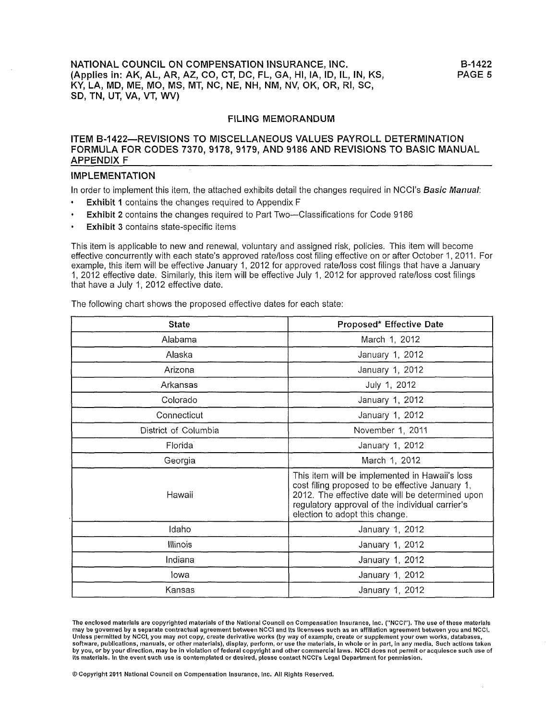NATIONAL COUNCIL ON COMPENSATION INSURANCE, INC. (Applies in: AK, AL, AR, AZ, CO, CT, DC, FL, GA, HI, IA, ID, IL, IN, KS, KY, LA, MD, ME, MO, MS, MT, NC, NE, NH, NM, NV, OK, OR, RI, SC, SD, TN, UT, VA, VT, WV)

#### **FILING MEMORANDUM**

### ITEM B-1422—REVISIONS TO MISCELLANEOUS VALUES PAYROLL DETERMINATION FORMULA FOR CODES 7370, 9178, 9179, AND 9186 AND REVISIONS TO BASIC MANUAL **APPENDIX F**

#### **IMPLEMENTATION**

In order to implement this item, the attached exhibits detail the changes required in NCCI's Basic Manual:

- **Exhibit 1** contains the changes required to Appendix F
- **Exhibit 2** contains the changes required to Part Two—Classifications for Code 9186
- $\bullet$ Exhibit 3 contains state-specific items

This item is applicable to new and renewal, voluntary and assigned risk, policies. This item will become effective concurrently with each state's approved rate/loss cost filing effective on or after October 1, 2011. For example, this item will be effective January 1, 2012 for approved rate/loss cost filings that have a January 1, 2012 effective date. Similarly, this item will be effective July 1, 2012 for approved rate/loss cost filings that have a July 1, 2012 effective date.

The following chart shows the proposed effective dates for each state:

| <b>State</b>         | Proposed* Effective Date                                                                                                                                                                                                                   |  |  |
|----------------------|--------------------------------------------------------------------------------------------------------------------------------------------------------------------------------------------------------------------------------------------|--|--|
| Alabama              | March 1, 2012                                                                                                                                                                                                                              |  |  |
| Alaska               | January 1, 2012                                                                                                                                                                                                                            |  |  |
| Arizona              | January 1, 2012                                                                                                                                                                                                                            |  |  |
| Arkansas             | July 1, 2012                                                                                                                                                                                                                               |  |  |
| Colorado             | January 1, 2012                                                                                                                                                                                                                            |  |  |
| Connecticut          | January 1, 2012                                                                                                                                                                                                                            |  |  |
| District of Columbia | November 1, 2011                                                                                                                                                                                                                           |  |  |
| Florida              | January 1, 2012                                                                                                                                                                                                                            |  |  |
| Georgia              | March 1, 2012                                                                                                                                                                                                                              |  |  |
| Hawaii               | This item will be implemented in Hawaii's loss<br>cost filing proposed to be effective January 1,<br>2012. The effective date will be determined upon<br>regulatory approval of the individual carrier's<br>election to adopt this change. |  |  |
| Idaho                | January 1, 2012                                                                                                                                                                                                                            |  |  |
| Illinois             | January 1, 2012                                                                                                                                                                                                                            |  |  |
| Indiana              | January 1, 2012                                                                                                                                                                                                                            |  |  |
| lowa                 | January 1, 2012                                                                                                                                                                                                                            |  |  |
| Kansas               | January 1, 2012                                                                                                                                                                                                                            |  |  |

The enclosed materials are copyrighted materials of the National Council on Compensation Insurance, Inc. ("NCCI"). The use of these materials may be governed by a separate contractual agreement between NCCI and its licensees such as an affiliation agreement between you and NCCI. Unless permitted by NCCI, you may not copy, create derivative works (by way of example, create or supplement your own works, databases, software, publications, manuals, or other materials), display, perform, or use the materials, in whole or in part, in any media. Such actions taken by you, or by your direction, may be in violation of federal copyright and other commercial laws. NCCI does not permit or acquiesce such use of its materials. In the event such use is contemplated or desired, please contact NCCI's Legal Department for permission.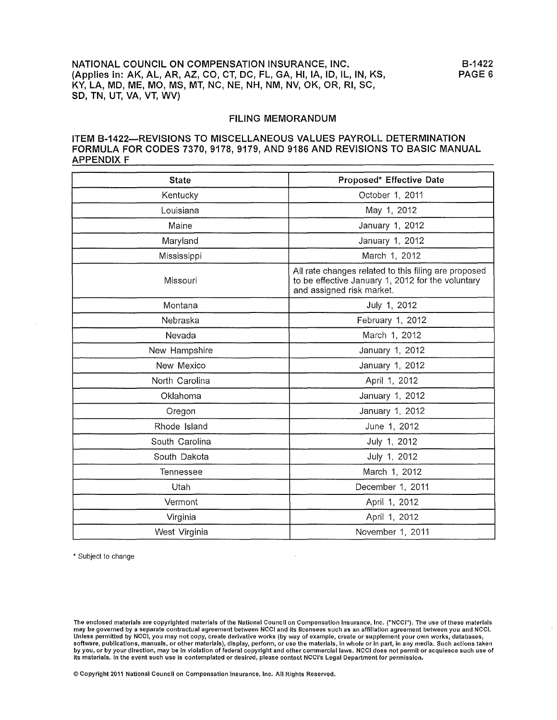### ITEM B-1422-REVISIONS TO MISCELLANEOUS VALUES PAYROLL DETERMINATION FORMULA FOR CODES 7370, 9178, 9179, AND 9186 AND REVISIONS TO BASIC MANUAL **APPENDIX F**

| <b>State</b>   | Proposed* Effective Date                                                                                                               |  |  |
|----------------|----------------------------------------------------------------------------------------------------------------------------------------|--|--|
| Kentucky       | October 1, 2011                                                                                                                        |  |  |
| Louisiana      | May 1, 2012                                                                                                                            |  |  |
| Maine          | January 1, 2012                                                                                                                        |  |  |
| Maryland       | January 1, 2012                                                                                                                        |  |  |
| Mississippi    | March 1, 2012                                                                                                                          |  |  |
| Missouri       | All rate changes related to this filing are proposed<br>to be effective January 1, 2012 for the voluntary<br>and assigned risk market. |  |  |
| Montana        | July 1, 2012                                                                                                                           |  |  |
| Nebraska       | February 1, 2012                                                                                                                       |  |  |
| Nevada         | March 1, 2012                                                                                                                          |  |  |
| New Hampshire  | January 1, 2012                                                                                                                        |  |  |
| New Mexico     | January 1, 2012                                                                                                                        |  |  |
| North Carolina | April 1, 2012                                                                                                                          |  |  |
| Oklahoma       | January 1, 2012                                                                                                                        |  |  |
| Oregon         | January 1, 2012                                                                                                                        |  |  |
| Rhode Island   | June 1, 2012                                                                                                                           |  |  |
| South Carolina | July 1, 2012                                                                                                                           |  |  |
| South Dakota   | July 1, 2012                                                                                                                           |  |  |
| Tennessee      | March 1, 2012                                                                                                                          |  |  |
| Utah           | December 1, 2011                                                                                                                       |  |  |
| Vermont        | April 1, 2012                                                                                                                          |  |  |
| Virginia       | April 1, 2012                                                                                                                          |  |  |
| West Virginia  | November 1, 2011                                                                                                                       |  |  |

\* Subject to change

The enclosed materials are copyrighted materials of the National Council on Compensation Insurance, Inc. ("NCCI"). The use of these materials may be governed by a separate contractual agreement between NCCI and its licensees such as an affiliation agreement between you and NCCI. Unless permitted by NCCI, you may not copy, create derivative works (by way of example, create or supplement your own works, databases, software, publications, manuals, or other materials), display, perform, or use the materials, in whole or in part, in any media. Such actions taken by you, or by your direction, may be in violation of federal copyright and other commercial laws. NCCI does not permit or acquiesce such use of its materials. In the event such use is contemplated or desired, please contact NCCI's Legal Department for permission.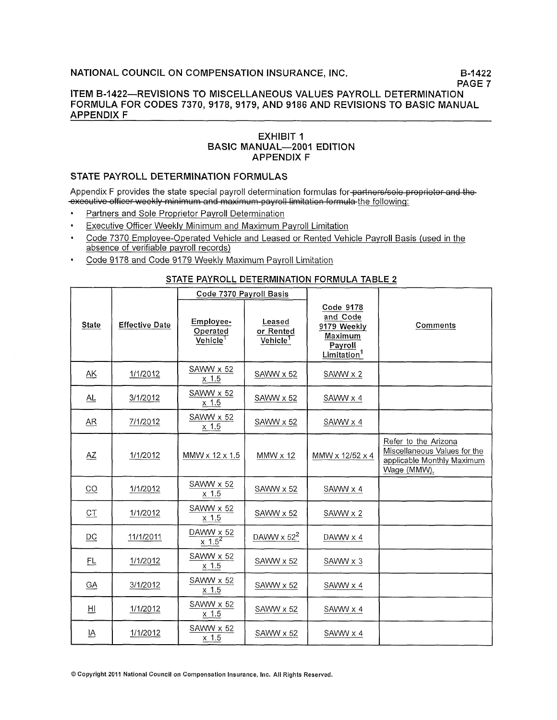B-1422 PAGE 7

### ITEM B-1422-REVISIONS TO MISCELLANEOUS VALUES PAYROLL DETERMINATION FORMULA FOR CODES 7370, 9178, 9179, AND 9186 AND REVISIONS TO BASIC MANUAL **APPENDIX F**

## **EXHIBIT 1 BASIC MANUAL-2001 EDITION APPENDIX F**

## STATE PAYROLL DETERMINATION FORMULAS

Appendix F provides the state special payroll determination formulas for partners/sole proprietor and the--executive officer weekly minimum and maximum payroll limitation formula the following.

- Partners and Sole Proprietor Payroll Determination
- Executive Officer Weekly Minimum and Maximum Payroll Limitation  $\ddot{\phantom{0}}$
- Code 7370 Employee-Operated Vehicle and Leased or Rented Vehicle Payroll Basis (used in the absence of verifiable payroll records)
- Code 9178 and Code 9179 Weekly Maximum Payroll Limitation

### STATE PAYROLL DETERMINATION FORMULA TABLE 2

|                           |                       | Code 7370 Payroll Basis                       |                                             |                                                                                              |                                                                                                   |
|---------------------------|-----------------------|-----------------------------------------------|---------------------------------------------|----------------------------------------------------------------------------------------------|---------------------------------------------------------------------------------------------------|
| <b>State</b>              | <b>Effective Date</b> | Employee-<br>Operated<br>Vehicle <sup>1</sup> | Leased<br>or Rented<br>Vehicle <sup>1</sup> | Code 9178<br>and Code<br>9179 Weekly<br>Maximum<br><b>Payroll</b><br>Limitation <sup>1</sup> | Comments                                                                                          |
| AK                        | 1/1/2012              | SAWW x 52<br>$x$ 1.5                          | SAWW x 52                                   | SAWW x 2                                                                                     |                                                                                                   |
| AL                        | 3/1/2012              | SAWW x 52<br>$x$ 1.5                          | SAWW x 52                                   | SAWW x 4                                                                                     |                                                                                                   |
| $\overline{AR}$           | 7/1/2012              | SAWW x 52<br>$x$ 1.5                          | SAWW x 52                                   | SAWW x 4                                                                                     |                                                                                                   |
| AZ                        | 1/1/2012              | MMW x 12 x 1.5                                | $MMW \times 12$                             | MMW x 12/52 x 4                                                                              | Refer to the Arizona<br>Miscellaneous Values for the<br>applicable Monthly Maximum<br>Wage (MMW). |
| $\overline{CQ}$           | 1/1/2012              | SAWW x 52<br>$x$ 1.5                          | SAWW x 52                                   | SAWW x 4                                                                                     |                                                                                                   |
| C1                        | 1/1/2012              | SAWW x 52<br>$x$ 1.5                          | SAWW x 52                                   | SAWW x 2                                                                                     |                                                                                                   |
| DC                        | 11/1/2011             | DAWW x 52<br>$\times 1.5^2$                   | DAWW $\times$ 52 <sup>2</sup>               | DAWW x 4                                                                                     |                                                                                                   |
| 巴                         | 1/1/2012              | $SAWW \times 52$<br>$x$ 1.5                   | SAWW x 52                                   | SAWW x 3                                                                                     |                                                                                                   |
| $G\underline{A}$          | 3/1/2012              | SAWW x 52<br>$x$ 1.5                          | SAWW x 52                                   | $SAWW \times 4$                                                                              |                                                                                                   |
| Щ                         | 1/1/2012              | SAWW x 52<br>$x$ 1.5                          | SAWW x 52                                   | SAWW x 4                                                                                     |                                                                                                   |
| $\underline{\mathsf{IA}}$ | 1/1/2012              | SAWW x 52<br>$x$ 1.5                          | SAWW x 52                                   | SAWW x 4                                                                                     |                                                                                                   |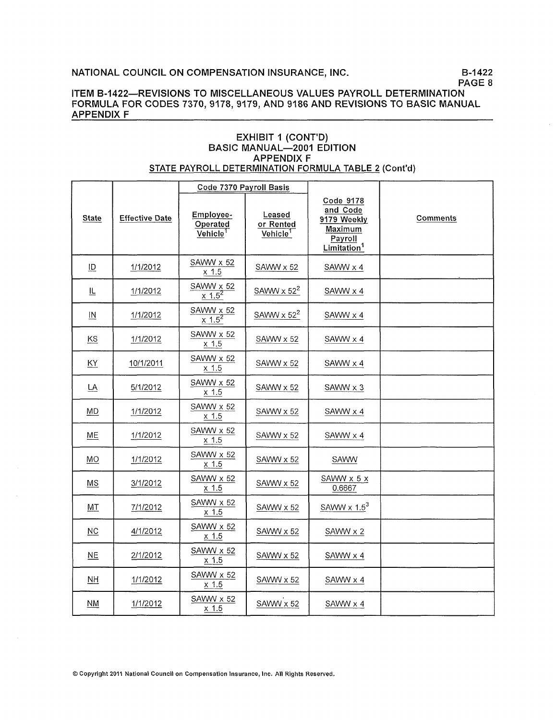B-1422 PAGE 8

### ITEM B-1422-REVISIONS TO MISCELLANEOUS VALUES PAYROLL DETERMINATION FORMULA FOR CODES 7370, 9178, 9179, AND 9186 AND REVISIONS TO BASIC MANUAL **APPENDIX F**

### **EXHIBIT 1 (CONT'D) BASIC MANUAL-2001 EDITION APPENDIX F** STATE PAYROLL DETERMINATION FORMULA TABLE 2 (Cont'd)

|                           |                       | Code 7370 Payroll Basis                       |                                             |                                                                                       |                 |
|---------------------------|-----------------------|-----------------------------------------------|---------------------------------------------|---------------------------------------------------------------------------------------|-----------------|
| <b>State</b>              | <b>Effective Date</b> | Employee-<br>Operated<br>Vehicle <sup>1</sup> | Leased<br>or Rented<br>Vehicle <sup>1</sup> | Code 9178<br>and Code<br>9179 Weekly<br>Maximum<br>Payroll<br>Limitation <sup>1</sup> | <b>Comments</b> |
| ID                        | 1/1/2012              | SAWW x 52<br>$x$ 1.5                          | SAWW x 52                                   | SAWW x 4                                                                              |                 |
| 世                         | 1/1/2012              | SAWW x 52<br>$x = 1.5^2$                      | SAWW $\times$ 52 <sup>2</sup>               | SAWW x 4                                                                              |                 |
| $\underline{\mathsf{IN}}$ | 1/1/2012              | SAWW x 52<br>$x^{1.5^2}$                      | SAWW $\times$ 52 <sup>2</sup>               | SAWW x 4                                                                              |                 |
| <b>KS</b>                 | 1/1/2012              | SAWW x 52<br>$x$ 1.5                          | SAWW x 52                                   | SAWW x 4                                                                              |                 |
| <b>KY</b>                 | 10/1/2011             | SAWW x 52<br>$x$ 1.5                          | SAWW x 52                                   | SAWW x 4                                                                              |                 |
| $\underline{\mathsf{LA}}$ | 5/1/2012              | SAWW x 52<br>$x$ 1.5                          | SAWW x 52                                   | SAWW x 3                                                                              |                 |
| MD                        | 1/1/2012              | SAWW x 52<br>$x$ 1.5                          | SAWW x 52                                   | SAWW x 4                                                                              |                 |
| <b>ME</b>                 | 1/1/2012              | SAWW x 52<br>$x$ 1.5                          | SAWW x 52                                   | SAWW x 4                                                                              |                 |
| <b>MO</b>                 | 1/1/2012              | SAWW x 52<br>$x$ 1.5                          | SAWW x 52                                   | SAWW                                                                                  |                 |
| <b>MS</b>                 | 3/1/2012              | SAWW x 52<br>x 1.5                            | SAWW x 52                                   | SAWW x 5 x<br>0.6667                                                                  |                 |
| MT                        | 7/1/2012              | SAWW x 52<br>$x$ 1.5                          | SAWW x 52                                   | SAWW $\times 1.5^3$                                                                   |                 |
| NC                        | 4/1/2012              | SAWW x 52<br>$x$ 1.5                          | SAWW x 52                                   | SAWW x 2                                                                              |                 |
| <b>NE</b>                 | 2/1/2012              | SAWW x 52<br>$x$ 1.5                          | SAWW x 52                                   | SAWW x 4                                                                              |                 |
| <b>NH</b>                 | 1/1/2012              | SAWW x 52<br>$x$ 1.5                          | SAWW x 52                                   | SAWW x 4                                                                              |                 |
| <b>NM</b>                 | 1/1/2012              | SAWW x 52<br>$x$ 1.5                          | SAWW x 52                                   | SAWW x 4                                                                              |                 |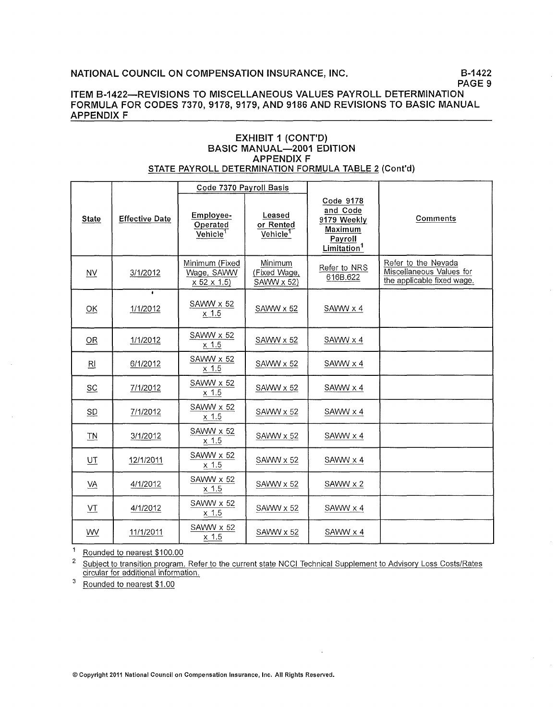### ITEM B-1422-REVISIONS TO MISCELLANEOUS VALUES PAYROLL DETERMINATION FORMULA FOR CODES 7370, 9178, 9179, AND 9186 AND REVISIONS TO BASIC MANUAL **APPENDIX F**

### **EXHIBIT 1 (CONT'D)** BASIC MANUAL-2001 EDITION **APPENDIX F** STATE PAYROLL DETERMINATION FORMULA TABLE 2 (Cont'd)

|                  |                       | Code 7370 Payroll Basis                                             |                                             |                                                                                       |                                                                               |
|------------------|-----------------------|---------------------------------------------------------------------|---------------------------------------------|---------------------------------------------------------------------------------------|-------------------------------------------------------------------------------|
| <b>State</b>     | <b>Effective Date</b> | Employee-<br>Operated<br>$\overline{\mathsf{Vehicle}}^{\mathsf{T}}$ | Leased<br>or Rented<br>Vehicle <sup>1</sup> | Code 9178<br>and Code<br>9179 Weekly<br>Maximum<br>Payroll<br>Limitation <sup>1</sup> | Comments                                                                      |
| NV.              | 3/1/2012              | Minimum (Fixed<br>Wage, SAWW<br>x 52 x 1.5                          | Minimum<br>(Fixed Wage,<br>SAWW x 52)       | Refer to NRS<br>616B.622                                                              | Refer to the Nevada<br>Miscellaneous Values for<br>the applicable fixed wage. |
| $\overline{OK}$  | $\bullet$<br>1/1/2012 | SAWW x 52<br>$x$ 1.5                                                | SAWW x 52                                   | $SAWW \times 4$                                                                       |                                                                               |
| <b>OR</b>        | 1/1/2012              | SAWW x 52<br>$x$ 1.5                                                | SAWW x 52                                   | SAWW x 4                                                                              |                                                                               |
| $R_{\parallel}$  | 6/1/2012              | SAWW x 52<br>$x$ 1.5                                                | SAWW x 52                                   | SAWW x 4                                                                              |                                                                               |
| SC               | 7/1/2012              | SAWW x 52<br>$x$ 1.5                                                | SAWW x 52                                   | SAWW x 4                                                                              |                                                                               |
| SD               | 7/1/2012              | SAWW x 52<br>$x$ 1.5                                                | SAWW x 52                                   | SAWW x 4                                                                              |                                                                               |
| T <sub>N</sub>   | 3/1/2012              | SAWW x 52<br>$x$ 1.5                                                | SAWW x 52                                   | SAWW x 4                                                                              |                                                                               |
| $U$ <sup>T</sup> | 12/1/2011             | SAWW x 52<br>$x$ 1.5                                                | SAWW x 52                                   | SAWW x 4                                                                              |                                                                               |
| VA               | 4/1/2012              | SAWW x 52<br>$x$ 1.5                                                | SAWW x 52                                   | SAWW x 2                                                                              |                                                                               |
| VT               | 4/1/2012              | SAWW x 52<br>$x$ 1.5                                                | SAWW x 52                                   | SAWW x 4                                                                              |                                                                               |
| W⊻               | 11/1/2011             | SAWW x 52<br>$x$ 1.5                                                | SAWW x 52                                   | SAWW x 4                                                                              |                                                                               |

 $\mathbf{1}$ Rounded to nearest \$100.00

 $\overline{\mathbf{c}}$ Subject to transition program. Refer to the current state NCCI Technical Supplement to Advisory Loss Costs/Rates circular for additional information.

 $\mathbf 3$ Rounded to nearest \$1.00

© Copyright 2011 National Council on Compensation Insurance, Inc. All Rights Reserved.

B-1422 PAGE 9

 $\mathcal{L}$